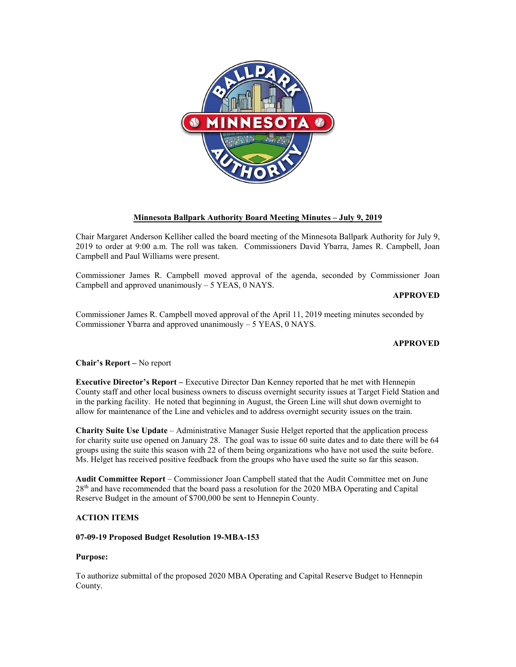

# **Minnesota Ballpark Authority Board Meeting Minutes – July 9, 2019**

Chair Margaret Anderson Kelliher called the board meeting of the Minnesota Ballpark Authority for July 9, 2019 to order at 9:00 a.m. The roll was taken. Commissioners David Ybarra, James R. Campbell, Joan Campbell and Paul Williams were present.

Commissioner James R. Campbell moved approval of the agenda, seconded by Commissioner Joan Campbell and approved unanimously  $-5$  YEAS, 0 NAYS.

**APPROVED**

Commissioner James R. Campbell moved approval of the April 11, 2019 meeting minutes seconded by Commissioner Ybarra and approved unanimously – 5 YEAS, 0 NAYS.

## **APPROVED**

**Chair's Report –** No report

**Executive Director's Report –** Executive Director Dan Kenney reported that he met with Hennepin County staff and other local business owners to discuss overnight security issues at Target Field Station and in the parking facility. He noted that beginning in August, the Green Line will shut down overnight to allow for maintenance of the Line and vehicles and to address overnight security issues on the train.

**Charity Suite Use Update** – Administrative Manager Susie Helget reported that the application process for charity suite use opened on January 28. The goal was to issue 60 suite dates and to date there will be 64 groups using the suite this season with 22 of them being organizations who have not used the suite before. Ms. Helget has received positive feedback from the groups who have used the suite so far this season.

**Audit Committee Report** – Commissioner Joan Campbell stated that the Audit Committee met on June 28<sup>th</sup> and have recommended that the board pass a resolution for the 2020 MBA Operating and Capital Reserve Budget in the amount of \$700,000 be sent to Hennepin County.

## **ACTION ITEMS**

### **07-09-19 Proposed Budget Resolution 19-MBA-153**

#### **Purpose:**

To authorize submittal of the proposed 2020 MBA Operating and Capital Reserve Budget to Hennepin County.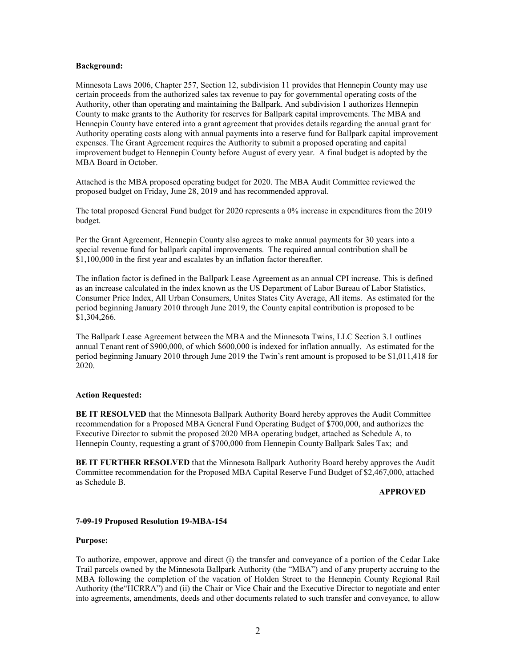#### **Background:**

Minnesota Laws 2006, Chapter 257, Section 12, subdivision 11 provides that Hennepin County may use certain proceeds from the authorized sales tax revenue to pay for governmental operating costs of the Authority, other than operating and maintaining the Ballpark. And subdivision 1 authorizes Hennepin County to make grants to the Authority for reserves for Ballpark capital improvements. The MBA and Hennepin County have entered into a grant agreement that provides details regarding the annual grant for Authority operating costs along with annual payments into a reserve fund for Ballpark capital improvement expenses. The Grant Agreement requires the Authority to submit a proposed operating and capital improvement budget to Hennepin County before August of every year. A final budget is adopted by the MBA Board in October.

Attached is the MBA proposed operating budget for 2020. The MBA Audit Committee reviewed the proposed budget on Friday, June 28, 2019 and has recommended approval.

The total proposed General Fund budget for 2020 represents a 0% increase in expenditures from the 2019 budget.

Per the Grant Agreement, Hennepin County also agrees to make annual payments for 30 years into a special revenue fund for ballpark capital improvements. The required annual contribution shall be \$1,100,000 in the first year and escalates by an inflation factor thereafter.

The inflation factor is defined in the Ballpark Lease Agreement as an annual CPI increase. This is defined as an increase calculated in the index known as the US Department of Labor Bureau of Labor Statistics, Consumer Price Index, All Urban Consumers, Unites States City Average, All items. As estimated for the period beginning January 2010 through June 2019, the County capital contribution is proposed to be \$1,304,266.

The Ballpark Lease Agreement between the MBA and the Minnesota Twins, LLC Section 3.1 outlines annual Tenant rent of \$900,000, of which \$600,000 is indexed for inflation annually. As estimated for the period beginning January 2010 through June 2019 the Twin's rent amount is proposed to be \$1,011,418 for 2020.

#### **Action Requested:**

**BE IT RESOLVED** that the Minnesota Ballpark Authority Board hereby approves the Audit Committee recommendation for a Proposed MBA General Fund Operating Budget of \$700,000, and authorizes the Executive Director to submit the proposed 2020 MBA operating budget, attached as Schedule A, to Hennepin County, requesting a grant of \$700,000 from Hennepin County Ballpark Sales Tax; and

**BE IT FURTHER RESOLVED** that the Minnesota Ballpark Authority Board hereby approves the Audit Committee recommendation for the Proposed MBA Capital Reserve Fund Budget of \$2,467,000, attached as Schedule B.

#### **APPROVED**

#### **7-09-19 Proposed Resolution 19-MBA-154**

#### **Purpose:**

To authorize, empower, approve and direct (i) the transfer and conveyance of a portion of the Cedar Lake Trail parcels owned by the Minnesota Ballpark Authority (the "MBA") and of any property accruing to the MBA following the completion of the vacation of Holden Street to the Hennepin County Regional Rail Authority (the"HCRRA") and (ii) the Chair or Vice Chair and the Executive Director to negotiate and enter into agreements, amendments, deeds and other documents related to such transfer and conveyance, to allow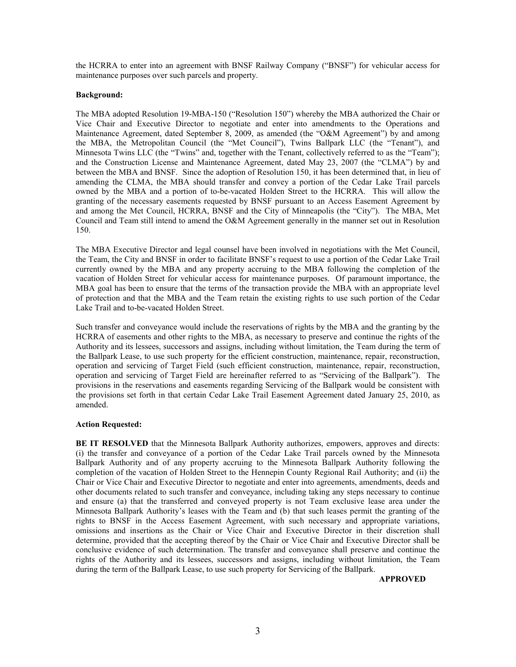the HCRRA to enter into an agreement with BNSF Railway Company ("BNSF") for vehicular access for maintenance purposes over such parcels and property.

#### **Background:**

The MBA adopted Resolution 19-MBA-150 ("Resolution 150") whereby the MBA authorized the Chair or Vice Chair and Executive Director to negotiate and enter into amendments to the Operations and Maintenance Agreement, dated September 8, 2009, as amended (the "O&M Agreement") by and among the MBA, the Metropolitan Council (the "Met Council"), Twins Ballpark LLC (the "Tenant"), and Minnesota Twins LLC (the "Twins" and, together with the Tenant, collectively referred to as the "Team"); and the Construction License and Maintenance Agreement, dated May 23, 2007 (the "CLMA") by and between the MBA and BNSF. Since the adoption of Resolution 150, it has been determined that, in lieu of amending the CLMA, the MBA should transfer and convey a portion of the Cedar Lake Trail parcels owned by the MBA and a portion of to-be-vacated Holden Street to the HCRRA. This will allow the granting of the necessary easements requested by BNSF pursuant to an Access Easement Agreement by and among the Met Council, HCRRA, BNSF and the City of Minneapolis (the "City"). The MBA, Met Council and Team still intend to amend the O&M Agreement generally in the manner set out in Resolution 150.

The MBA Executive Director and legal counsel have been involved in negotiations with the Met Council, the Team, the City and BNSF in order to facilitate BNSF's request to use a portion of the Cedar Lake Trail currently owned by the MBA and any property accruing to the MBA following the completion of the vacation of Holden Street for vehicular access for maintenance purposes. Of paramount importance, the MBA goal has been to ensure that the terms of the transaction provide the MBA with an appropriate level of protection and that the MBA and the Team retain the existing rights to use such portion of the Cedar Lake Trail and to-be-vacated Holden Street.

Such transfer and conveyance would include the reservations of rights by the MBA and the granting by the HCRRA of easements and other rights to the MBA, as necessary to preserve and continue the rights of the Authority and its lessees, successors and assigns, including without limitation, the Team during the term of the Ballpark Lease, to use such property for the efficient construction, maintenance, repair, reconstruction, operation and servicing of Target Field (such efficient construction, maintenance, repair, reconstruction, operation and servicing of Target Field are hereinafter referred to as "Servicing of the Ballpark"). The provisions in the reservations and easements regarding Servicing of the Ballpark would be consistent with the provisions set forth in that certain Cedar Lake Trail Easement Agreement dated January 25, 2010, as amended.

#### **Action Requested:**

**BE IT RESOLVED** that the Minnesota Ballpark Authority authorizes, empowers, approves and directs: (i) the transfer and conveyance of a portion of the Cedar Lake Trail parcels owned by the Minnesota Ballpark Authority and of any property accruing to the Minnesota Ballpark Authority following the completion of the vacation of Holden Street to the Hennepin County Regional Rail Authority; and (ii) the Chair or Vice Chair and Executive Director to negotiate and enter into agreements, amendments, deeds and other documents related to such transfer and conveyance, including taking any steps necessary to continue and ensure (a) that the transferred and conveyed property is not Team exclusive lease area under the Minnesota Ballpark Authority's leases with the Team and (b) that such leases permit the granting of the rights to BNSF in the Access Easement Agreement, with such necessary and appropriate variations, omissions and insertions as the Chair or Vice Chair and Executive Director in their discretion shall determine, provided that the accepting thereof by the Chair or Vice Chair and Executive Director shall be conclusive evidence of such determination. The transfer and conveyance shall preserve and continue the rights of the Authority and its lessees, successors and assigns, including without limitation, the Team during the term of the Ballpark Lease, to use such property for Servicing of the Ballpark.

**APPROVED**